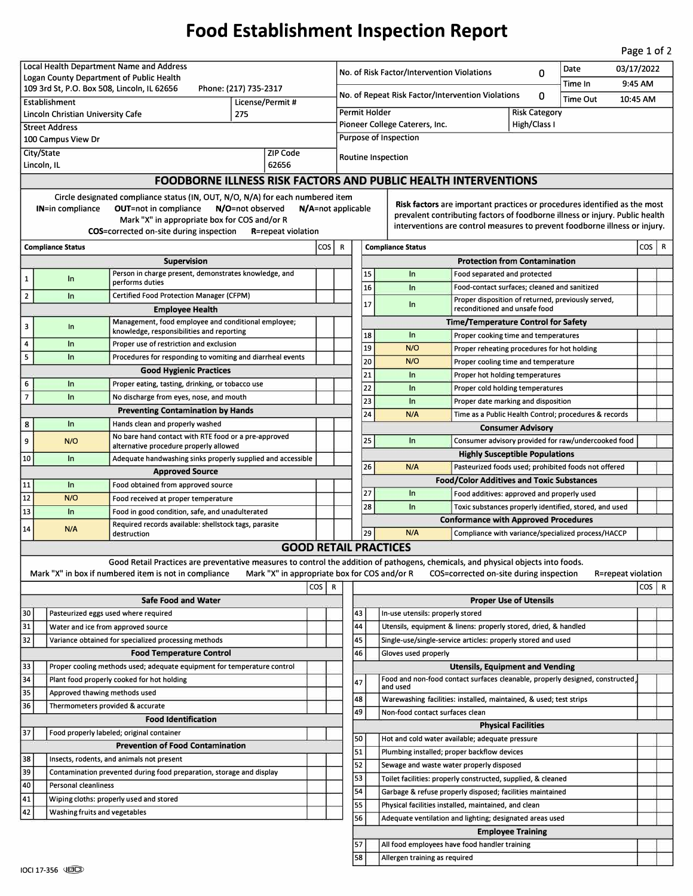## **Food Establishment Inspection Report**

Page 1 of 2

| Local Health Department Name and Address                                                                                                          |                                                                             |                                                                                                                                   |  |         |  |                                                                                                                                 | 03/17/2022<br>Date<br>No. of Risk Factor/Intervention Violations<br>0                                                                                     |                                                                                         |                                                                                                      |                          |  |         |                  |   |  |  |
|---------------------------------------------------------------------------------------------------------------------------------------------------|-----------------------------------------------------------------------------|-----------------------------------------------------------------------------------------------------------------------------------|--|---------|--|---------------------------------------------------------------------------------------------------------------------------------|-----------------------------------------------------------------------------------------------------------------------------------------------------------|-----------------------------------------------------------------------------------------|------------------------------------------------------------------------------------------------------|--------------------------|--|---------|------------------|---|--|--|
| Logan County Department of Public Health<br>109 3rd St, P.O. Box 508, Lincoln, IL 62656<br>Phone: (217) 735-2317                                  |                                                                             |                                                                                                                                   |  |         |  | Time In                                                                                                                         |                                                                                                                                                           |                                                                                         |                                                                                                      |                          |  | 9:45 AM |                  |   |  |  |
| Establishment<br>License/Permit #                                                                                                                 |                                                                             |                                                                                                                                   |  |         |  | No. of Repeat Risk Factor/Intervention Violations<br>0<br><b>Time Out</b><br>10:45 AM                                           |                                                                                                                                                           |                                                                                         |                                                                                                      |                          |  |         |                  |   |  |  |
| Lincoln Christian University Cafe<br>275                                                                                                          |                                                                             |                                                                                                                                   |  |         |  | Permit Holder<br><b>Risk Category</b>                                                                                           |                                                                                                                                                           |                                                                                         |                                                                                                      |                          |  |         |                  |   |  |  |
| <b>Street Address</b>                                                                                                                             |                                                                             |                                                                                                                                   |  |         |  | High/Class I<br>Pioneer College Caterers, Inc.                                                                                  |                                                                                                                                                           |                                                                                         |                                                                                                      |                          |  |         |                  |   |  |  |
| 100 Campus View Dr                                                                                                                                |                                                                             |                                                                                                                                   |  |         |  | Purpose of Inspection                                                                                                           |                                                                                                                                                           |                                                                                         |                                                                                                      |                          |  |         |                  |   |  |  |
| City/State<br>ZIP Code                                                                                                                            |                                                                             |                                                                                                                                   |  |         |  | Routine Inspection                                                                                                              |                                                                                                                                                           |                                                                                         |                                                                                                      |                          |  |         |                  |   |  |  |
| 62656<br>Lincoln, IL                                                                                                                              |                                                                             |                                                                                                                                   |  |         |  |                                                                                                                                 |                                                                                                                                                           |                                                                                         |                                                                                                      |                          |  |         |                  |   |  |  |
| <b>FOODBORNE ILLNESS RISK FACTORS AND PUBLIC HEALTH INTERVENTIONS</b>                                                                             |                                                                             |                                                                                                                                   |  |         |  |                                                                                                                                 |                                                                                                                                                           |                                                                                         |                                                                                                      |                          |  |         |                  |   |  |  |
| Circle designated compliance status (IN, OUT, N/O, N/A) for each numbered item                                                                    |                                                                             |                                                                                                                                   |  |         |  |                                                                                                                                 |                                                                                                                                                           |                                                                                         |                                                                                                      |                          |  |         |                  |   |  |  |
| <b>OUT=not in compliance</b><br>N/O=not observed<br><b>IN=in compliance</b><br>N/A=not applicable<br>Mark "X" in appropriate box for COS and/or R |                                                                             |                                                                                                                                   |  |         |  |                                                                                                                                 | Risk factors are important practices or procedures identified as the most<br>prevalent contributing factors of foodborne illness or injury. Public health |                                                                                         |                                                                                                      |                          |  |         |                  |   |  |  |
| <b>COS</b> =corrected on-site during inspection<br><b>R</b> =repeat violation                                                                     |                                                                             |                                                                                                                                   |  |         |  |                                                                                                                                 | interventions are control measures to prevent foodborne illness or injury.                                                                                |                                                                                         |                                                                                                      |                          |  |         |                  |   |  |  |
| cos  <br><b>Compliance Status</b>                                                                                                                 |                                                                             |                                                                                                                                   |  |         |  |                                                                                                                                 |                                                                                                                                                           | <b>Compliance Status</b>                                                                |                                                                                                      |                          |  |         | COS <sup>I</sup> | R |  |  |
| Supervision                                                                                                                                       |                                                                             |                                                                                                                                   |  |         |  | <b>Protection from Contamination</b>                                                                                            |                                                                                                                                                           |                                                                                         |                                                                                                      |                          |  |         |                  |   |  |  |
| $\mathbf{1}$                                                                                                                                      | In                                                                          | Person in charge present, demonstrates knowledge, and                                                                             |  |         |  |                                                                                                                                 | 15                                                                                                                                                        | In                                                                                      | Food separated and protected                                                                         |                          |  |         |                  |   |  |  |
|                                                                                                                                                   |                                                                             | performs duties                                                                                                                   |  |         |  |                                                                                                                                 | 16                                                                                                                                                        | In                                                                                      | Food-contact surfaces; cleaned and sanitized                                                         |                          |  |         |                  |   |  |  |
| $\overline{2}$                                                                                                                                    | In                                                                          | <b>Certified Food Protection Manager (CFPM)</b>                                                                                   |  |         |  |                                                                                                                                 | 17                                                                                                                                                        | In                                                                                      | Proper disposition of returned, previously served,                                                   |                          |  |         |                  |   |  |  |
|                                                                                                                                                   |                                                                             | <b>Employee Health</b>                                                                                                            |  |         |  | reconditioned and unsafe food                                                                                                   |                                                                                                                                                           |                                                                                         |                                                                                                      |                          |  |         |                  |   |  |  |
| 3                                                                                                                                                 | In                                                                          | Management, food employee and conditional employee;<br>knowledge, responsibilities and reporting                                  |  |         |  | <b>Time/Temperature Control for Safety</b><br>18<br>In<br>Proper cooking time and temperatures                                  |                                                                                                                                                           |                                                                                         |                                                                                                      |                          |  |         |                  |   |  |  |
| 4                                                                                                                                                 | In                                                                          | Proper use of restriction and exclusion                                                                                           |  |         |  |                                                                                                                                 | 19                                                                                                                                                        | N/O                                                                                     | Proper reheating procedures for hot holding                                                          |                          |  |         |                  |   |  |  |
| 5                                                                                                                                                 | In                                                                          | Procedures for responding to vomiting and diarrheal events                                                                        |  |         |  |                                                                                                                                 | 20                                                                                                                                                        | N/O                                                                                     | Proper cooling time and temperature                                                                  |                          |  |         |                  |   |  |  |
|                                                                                                                                                   |                                                                             | <b>Good Hygienic Practices</b>                                                                                                    |  |         |  |                                                                                                                                 | 21                                                                                                                                                        | In                                                                                      | Proper hot holding temperatures                                                                      |                          |  |         |                  |   |  |  |
| 6                                                                                                                                                 | In                                                                          | Proper eating, tasting, drinking, or tobacco use                                                                                  |  |         |  |                                                                                                                                 | 22                                                                                                                                                        | In                                                                                      | Proper cold holding temperatures                                                                     |                          |  |         |                  |   |  |  |
| $\overline{7}$                                                                                                                                    | In                                                                          | No discharge from eyes, nose, and mouth                                                                                           |  |         |  |                                                                                                                                 | 23                                                                                                                                                        | In                                                                                      | Proper date marking and disposition                                                                  |                          |  |         |                  |   |  |  |
|                                                                                                                                                   |                                                                             | <b>Preventing Contamination by Hands</b>                                                                                          |  |         |  |                                                                                                                                 | 24                                                                                                                                                        | N/A                                                                                     | Time as a Public Health Control; procedures & records                                                |                          |  |         |                  |   |  |  |
| 8                                                                                                                                                 | In.                                                                         | Hands clean and properly washed                                                                                                   |  |         |  |                                                                                                                                 |                                                                                                                                                           |                                                                                         |                                                                                                      | <b>Consumer Advisory</b> |  |         |                  |   |  |  |
| 9                                                                                                                                                 | N/O                                                                         | No bare hand contact with RTE food or a pre-approved<br>alternative procedure properly allowed                                    |  |         |  |                                                                                                                                 | 25                                                                                                                                                        | In                                                                                      | Consumer advisory provided for raw/undercooked food                                                  |                          |  |         |                  |   |  |  |
| 10<br>In<br>Adequate handwashing sinks properly supplied and accessible                                                                           |                                                                             |                                                                                                                                   |  |         |  |                                                                                                                                 |                                                                                                                                                           |                                                                                         | <b>Highly Susceptible Populations</b>                                                                |                          |  |         |                  |   |  |  |
|                                                                                                                                                   |                                                                             | <b>Approved Source</b>                                                                                                            |  |         |  |                                                                                                                                 | 26                                                                                                                                                        | N/A                                                                                     | Pasteurized foods used; prohibited foods not offered                                                 |                          |  |         |                  |   |  |  |
| 11                                                                                                                                                | In                                                                          | Food obtained from approved source                                                                                                |  |         |  |                                                                                                                                 |                                                                                                                                                           |                                                                                         | <b>Food/Color Additives and Toxic Substances</b>                                                     |                          |  |         |                  |   |  |  |
| 12                                                                                                                                                | N/O                                                                         | Food received at proper temperature                                                                                               |  |         |  |                                                                                                                                 | 27<br>28                                                                                                                                                  | In<br>In                                                                                | Food additives: approved and properly used<br>Toxic substances properly identified, stored, and used |                          |  |         |                  |   |  |  |
| 13                                                                                                                                                | In                                                                          | Food in good condition, safe, and unadulterated                                                                                   |  |         |  |                                                                                                                                 |                                                                                                                                                           |                                                                                         | <b>Conformance with Approved Procedures</b>                                                          |                          |  |         |                  |   |  |  |
| 14                                                                                                                                                | N/A                                                                         | Required records available: shellstock tags, parasite<br>destruction                                                              |  |         |  |                                                                                                                                 | 29                                                                                                                                                        | N/A                                                                                     | Compliance with variance/specialized process/HACCP                                                   |                          |  |         |                  |   |  |  |
|                                                                                                                                                   |                                                                             |                                                                                                                                   |  |         |  |                                                                                                                                 |                                                                                                                                                           | <b>GOOD RETAIL PRACTICES</b>                                                            |                                                                                                      |                          |  |         |                  |   |  |  |
|                                                                                                                                                   |                                                                             | Good Retail Practices are preventative measures to control the addition of pathogens, chemicals, and physical objects into foods. |  |         |  |                                                                                                                                 |                                                                                                                                                           |                                                                                         |                                                                                                      |                          |  |         |                  |   |  |  |
|                                                                                                                                                   |                                                                             | Mark "X" in box if numbered item is not in compliance                                                                             |  |         |  | Mark "X" in appropriate box for COS and/or R<br>COS=corrected on-site during inspection<br>R=repeat violation                   |                                                                                                                                                           |                                                                                         |                                                                                                      |                          |  |         |                  |   |  |  |
|                                                                                                                                                   |                                                                             |                                                                                                                                   |  | COS   R |  | $\cos   R$                                                                                                                      |                                                                                                                                                           |                                                                                         |                                                                                                      |                          |  |         |                  |   |  |  |
|                                                                                                                                                   |                                                                             | <b>Safe Food and Water</b>                                                                                                        |  |         |  | <b>Proper Use of Utensils</b>                                                                                                   |                                                                                                                                                           |                                                                                         |                                                                                                      |                          |  |         |                  |   |  |  |
| 30                                                                                                                                                |                                                                             | Pasteurized eggs used where required                                                                                              |  |         |  | 43<br>In-use utensils: properly stored                                                                                          |                                                                                                                                                           |                                                                                         |                                                                                                      |                          |  |         |                  |   |  |  |
| 31                                                                                                                                                | Water and ice from approved source                                          |                                                                                                                                   |  |         |  | 44                                                                                                                              |                                                                                                                                                           | Utensils, equipment & linens: properly stored, dried, & handled                         |                                                                                                      |                          |  |         |                  |   |  |  |
| 32<br>Variance obtained for specialized processing methods                                                                                        |                                                                             |                                                                                                                                   |  |         |  | 45                                                                                                                              |                                                                                                                                                           | Single-use/single-service articles: properly stored and used                            |                                                                                                      |                          |  |         |                  |   |  |  |
|                                                                                                                                                   |                                                                             | <b>Food Temperature Control</b>                                                                                                   |  |         |  | 46                                                                                                                              |                                                                                                                                                           | Gloves used properly                                                                    |                                                                                                      |                          |  |         |                  |   |  |  |
| 33<br>34                                                                                                                                          | Proper cooling methods used; adequate equipment for temperature control     |                                                                                                                                   |  |         |  | <b>Utensils, Equipment and Vending</b><br>Food and non-food contact surfaces cleanable, properly designed, constructed,         |                                                                                                                                                           |                                                                                         |                                                                                                      |                          |  |         |                  |   |  |  |
| 35                                                                                                                                                | Plant food properly cooked for hot holding<br>Approved thawing methods used |                                                                                                                                   |  |         |  | 47                                                                                                                              |                                                                                                                                                           | and used                                                                                |                                                                                                      |                          |  |         |                  |   |  |  |
| 36                                                                                                                                                | Thermometers provided & accurate                                            |                                                                                                                                   |  |         |  | 48                                                                                                                              |                                                                                                                                                           | Warewashing facilities: installed, maintained, & used; test strips                      |                                                                                                      |                          |  |         |                  |   |  |  |
| <b>Food Identification</b>                                                                                                                        |                                                                             |                                                                                                                                   |  |         |  | 49                                                                                                                              |                                                                                                                                                           | Non-food contact surfaces clean                                                         |                                                                                                      |                          |  |         |                  |   |  |  |
| 37<br>Food properly labeled; original container                                                                                                   |                                                                             |                                                                                                                                   |  |         |  |                                                                                                                                 |                                                                                                                                                           |                                                                                         | <b>Physical Facilities</b>                                                                           |                          |  |         |                  |   |  |  |
|                                                                                                                                                   | <b>Prevention of Food Contamination</b>                                     |                                                                                                                                   |  |         |  | 50<br>51                                                                                                                        |                                                                                                                                                           | Hot and cold water available; adequate pressure                                         |                                                                                                      |                          |  |         |                  |   |  |  |
| 38                                                                                                                                                | Insects, rodents, and animals not present                                   |                                                                                                                                   |  |         |  | 52                                                                                                                              |                                                                                                                                                           | Plumbing installed; proper backflow devices<br>Sewage and waste water properly disposed |                                                                                                      |                          |  |         |                  |   |  |  |
| 39                                                                                                                                                | Contamination prevented during food preparation, storage and display        |                                                                                                                                   |  |         |  | 53                                                                                                                              |                                                                                                                                                           |                                                                                         |                                                                                                      |                          |  |         |                  |   |  |  |
| 40                                                                                                                                                | Personal cleanliness                                                        |                                                                                                                                   |  |         |  | Toilet facilities: properly constructed, supplied, & cleaned<br>54<br>Garbage & refuse properly disposed; facilities maintained |                                                                                                                                                           |                                                                                         |                                                                                                      |                          |  |         |                  |   |  |  |
| 41<br>Wiping cloths: properly used and stored                                                                                                     |                                                                             |                                                                                                                                   |  |         |  | 55                                                                                                                              |                                                                                                                                                           | Physical facilities installed, maintained, and clean                                    |                                                                                                      |                          |  |         |                  |   |  |  |
| 42<br>Washing fruits and vegetables                                                                                                               |                                                                             |                                                                                                                                   |  |         |  | 56                                                                                                                              |                                                                                                                                                           | Adequate ventilation and lighting; designated areas used                                |                                                                                                      |                          |  |         |                  |   |  |  |
|                                                                                                                                                   |                                                                             |                                                                                                                                   |  |         |  |                                                                                                                                 |                                                                                                                                                           |                                                                                         |                                                                                                      | <b>Employee Training</b> |  |         |                  |   |  |  |
|                                                                                                                                                   |                                                                             |                                                                                                                                   |  |         |  | 57                                                                                                                              |                                                                                                                                                           | All food employees have food handler training                                           |                                                                                                      |                          |  |         |                  |   |  |  |
|                                                                                                                                                   |                                                                             |                                                                                                                                   |  |         |  | 58                                                                                                                              |                                                                                                                                                           | Allergen training as required                                                           |                                                                                                      |                          |  |         |                  |   |  |  |